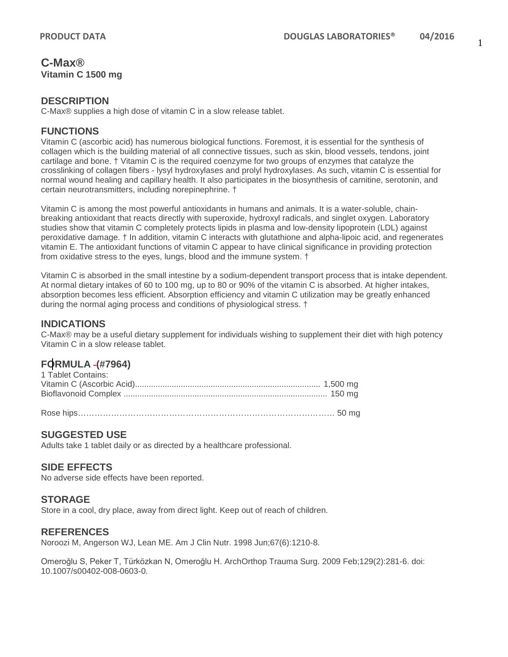### **C-Max® Vitamin C 1500 mg**

#### **DESCRIPTION**

C-Max® supplies a high dose of vitamin C in a slow release tablet.

### **FUNCTIONS**

Vitamin C (ascorbic acid) has numerous biological functions. Foremost, it is essential for the synthesis of collagen which is the building material of all connective tissues, such as skin, blood vessels, tendons, joint cartilage and bone. † Vitamin C is the required coenzyme for two groups of enzymes that catalyze the crosslinking of collagen fibers - lysyl hydroxylases and prolyl hydroxylases. As such, vitamin C is essential for normal wound healing and capillary health. It also participates in the biosynthesis of carnitine, serotonin, and certain neurotransmitters, including norepinephrine. †

Vitamin C is among the most powerful antioxidants in humans and animals. It is a water-soluble, chainbreaking antioxidant that reacts directly with superoxide, hydroxyl radicals, and singlet oxygen. Laboratory studies show that vitamin C completely protects lipids in plasma and low-density lipoprotein (LDL) against peroxidative damage. † In addition, vitamin C interacts with glutathione and alpha-lipoic acid, and regenerates vitamin E. The antioxidant functions of vitamin C appear to have clinical significance in providing protection from oxidative stress to the eyes, lungs, blood and the immune system. †

Vitamin C is absorbed in the small intestine by a sodium-dependent transport process that is intake dependent. At normal dietary intakes of 60 to 100 mg, up to 80 or 90% of the vitamin C is absorbed. At higher intakes, absorption becomes less efficient. Absorption efficiency and vitamin C utilization may be greatly enhanced during the normal aging process and conditions of physiological stress. †

### **INDICATIONS**

C-Max® may be a useful dietary supplement for individuals wishing to supplement their diet with high potency Vitamin C in a slow release tablet.

# **FORMULA (#7964)**

| 1 Tablet Contains: |  |
|--------------------|--|
|                    |  |
|                    |  |
|                    |  |

Rose hips………………………………………………………………………………… 50 mg

### **SUGGESTED USE**

Adults take 1 tablet daily or as directed by a healthcare professional.

### **SIDE EFFECTS**

No adverse side effects have been reported.

#### **STORAGE**

Store in a cool, dry place, away from direct light. Keep out of reach of children.

#### **REFERENCES**

Noroozi M, Angerson WJ, Lean ME. Am J Clin Nutr. 1998 Jun;67(6):1210-8.

Omeroğlu S, Peker T, Türközkan N, Omeroğlu H. ArchOrthop Trauma Surg. 2009 Feb;129(2):281-6. doi: 10.1007/s00402-008-0603-0.